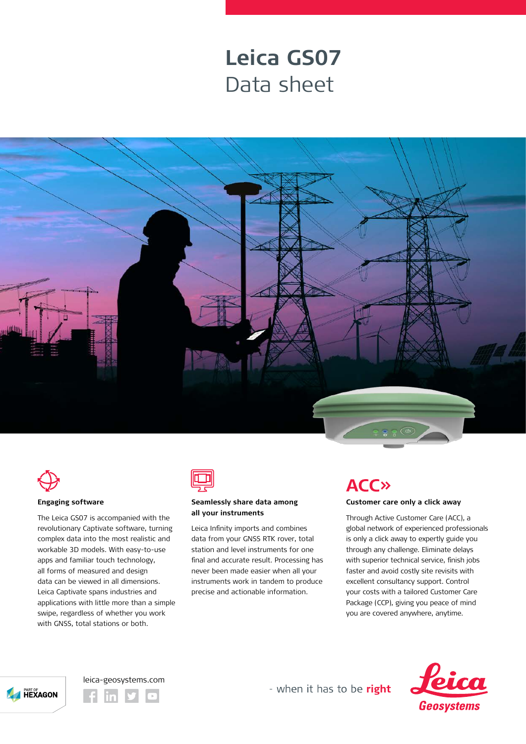## **Leica GS07** Data sheet





#### **Engaging software**

The Leica GS07 is accompanied with the revolutionary Captivate software, turning complex data into the most realistic and workable 3D models. With easy-to-use apps and familiar touch technology, all forms of measured and design data can be viewed in all dimensions. Leica Captivate spans industries and applications with little more than a simple swipe, regardless of whether you work with GNSS, total stations or both.



### **Seamlessly share data among all your instruments**

Leica Infinity imports and combines data from your GNSS RTK rover, total station and level instruments for one final and accurate result. Processing has never been made easier when all your instruments work in tandem to produce precise and actionable information.

## **ACC»**

### **Customer care only a click away**

Through Active Customer Care (ACC), a global network of experienced professionals is only a click away to expertly guide you through any challenge. Eliminate delays with superior technical service, finish jobs faster and avoid costly site revisits with excellent consultancy support. Control your costs with a tailored Customer Care Package (CCP), giving you peace of mind you are covered anywhere, anytime.







- when it has to be right